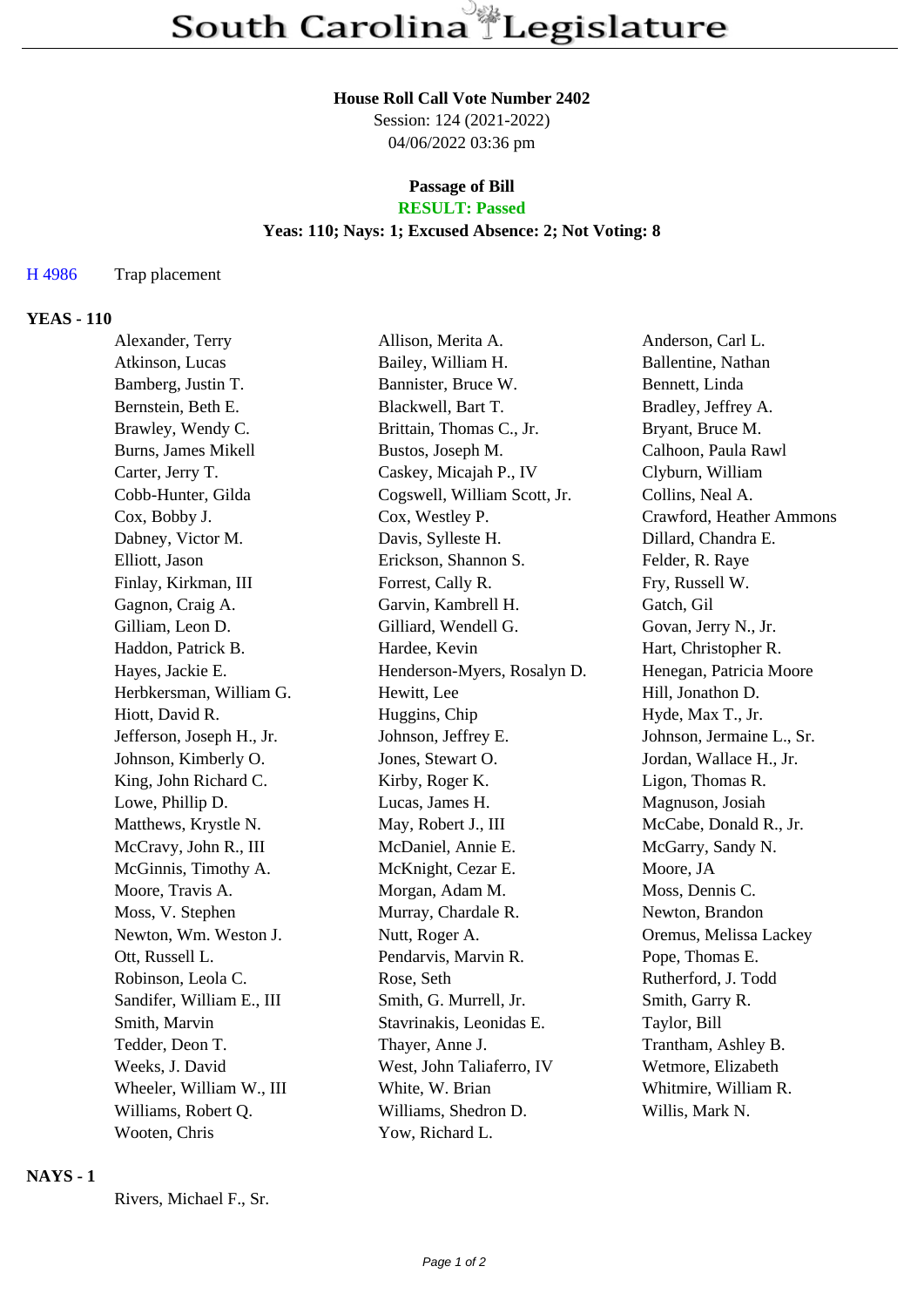# **House Roll Call Vote Number 2402**

Session: 124 (2021-2022) 04/06/2022 03:36 pm

#### **Passage of Bill RESULT: Passed**

### **Yeas: 110; Nays: 1; Excused Absence: 2; Not Voting: 8**

### H 4986 Trap placement

## **YEAS - 110**

| Alexander, Terry          | Allison, Merita A.           | Anderson, Carl L.         |
|---------------------------|------------------------------|---------------------------|
| Atkinson, Lucas           | Bailey, William H.           | Ballentine, Nathan        |
| Bamberg, Justin T.        | Bannister, Bruce W.          | Bennett, Linda            |
| Bernstein, Beth E.        | Blackwell, Bart T.           | Bradley, Jeffrey A.       |
| Brawley, Wendy C.         | Brittain, Thomas C., Jr.     | Bryant, Bruce M.          |
| Burns, James Mikell       | Bustos, Joseph M.            | Calhoon, Paula Rawl       |
| Carter, Jerry T.          | Caskey, Micajah P., IV       | Clyburn, William          |
| Cobb-Hunter, Gilda        | Cogswell, William Scott, Jr. | Collins, Neal A.          |
| Cox, Bobby J.             | Cox, Westley P.              | Crawford, Heather Ammons  |
| Dabney, Victor M.         | Davis, Sylleste H.           | Dillard, Chandra E.       |
| Elliott, Jason            | Erickson, Shannon S.         | Felder, R. Raye           |
| Finlay, Kirkman, III      | Forrest, Cally R.            | Fry, Russell W.           |
| Gagnon, Craig A.          | Garvin, Kambrell H.          | Gatch, Gil                |
| Gilliam, Leon D.          | Gilliard, Wendell G.         | Govan, Jerry N., Jr.      |
| Haddon, Patrick B.        | Hardee, Kevin                | Hart, Christopher R.      |
| Hayes, Jackie E.          | Henderson-Myers, Rosalyn D.  | Henegan, Patricia Moore   |
| Herbkersman, William G.   | Hewitt, Lee                  | Hill, Jonathon D.         |
| Hiott, David R.           | Huggins, Chip                | Hyde, Max T., Jr.         |
| Jefferson, Joseph H., Jr. | Johnson, Jeffrey E.          | Johnson, Jermaine L., Sr. |
| Johnson, Kimberly O.      | Jones, Stewart O.            | Jordan, Wallace H., Jr.   |
| King, John Richard C.     | Kirby, Roger K.              | Ligon, Thomas R.          |
| Lowe, Phillip D.          | Lucas, James H.              | Magnuson, Josiah          |
| Matthews, Krystle N.      | May, Robert J., III          | McCabe, Donald R., Jr.    |
| McCravy, John R., III     | McDaniel, Annie E.           | McGarry, Sandy N.         |
| McGinnis, Timothy A.      | McKnight, Cezar E.           | Moore, JA                 |
| Moore, Travis A.          | Morgan, Adam M.              | Moss, Dennis C.           |
| Moss, V. Stephen          | Murray, Chardale R.          | Newton, Brandon           |
| Newton, Wm. Weston J.     | Nutt, Roger A.               | Oremus, Melissa Lackey    |
| Ott, Russell L.           | Pendarvis, Marvin R.         | Pope, Thomas E.           |
| Robinson, Leola C.        | Rose, Seth                   | Rutherford, J. Todd       |
| Sandifer, William E., III | Smith, G. Murrell, Jr.       | Smith, Garry R.           |
| Smith, Marvin             | Stavrinakis, Leonidas E.     | Taylor, Bill              |
| Tedder, Deon T.           | Thayer, Anne J.              | Trantham, Ashley B.       |
| Weeks, J. David           | West, John Taliaferro, IV    | Wetmore, Elizabeth        |
| Wheeler, William W., III  | White, W. Brian              | Whitmire, William R.      |
| Williams, Robert Q.       | Williams, Shedron D.         | Willis, Mark N.           |
| Wooten, Chris             | Yow, Richard L.              |                           |

### **NAYS - 1**

Rivers, Michael F., Sr.